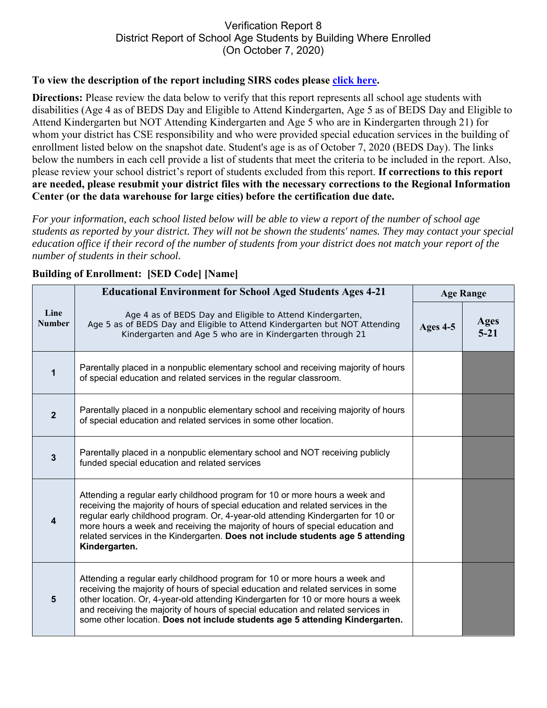## Verification Report 8 District Report of School Age Students by Building Where Enrolled (On October 7, 2020)

## **To view the description of the report including SIRS codes please click here.**

**Directions:** Please review the data below to verify that this report represents all school age students with disabilities (Age 4 as of BEDS Day and Eligible to Attend Kindergarten, Age 5 as of BEDS Day and Eligible to Attend Kindergarten but NOT Attending Kindergarten and Age 5 who are in Kindergarten through 21) for whom your district has CSE responsibility and who were provided special education services in the building of enrollment listed below on the snapshot date. Student's age is as of October 7, 2020 (BEDS Day). The links below the numbers in each cell provide a list of students that meet the criteria to be included in the report. Also, please review your school district's report of students excluded from this report. **If corrections to this report are needed, please resubmit your district files with the necessary corrections to the Regional Information Center (or the data warehouse for large cities) before the certification due date.**

*For your information, each school listed below will be able to view a report of the number of school age students as reported by your district. They will not be shown the students' names. They may contact your special education office if their record of the number of students from your district does not match your report of the number of students in their school.* 

|                         | <b>Educational Environment for School Aged Students Ages 4-21</b>                                                                                                                                                                                                                                                                                                                                                                         |          | <b>Age Range</b>        |  |
|-------------------------|-------------------------------------------------------------------------------------------------------------------------------------------------------------------------------------------------------------------------------------------------------------------------------------------------------------------------------------------------------------------------------------------------------------------------------------------|----------|-------------------------|--|
| Line<br><b>Number</b>   | Age 4 as of BEDS Day and Eligible to Attend Kindergarten,<br>Age 5 as of BEDS Day and Eligible to Attend Kindergarten but NOT Attending<br>Kindergarten and Age 5 who are in Kindergarten through 21                                                                                                                                                                                                                                      | Ages 4-5 | <b>Ages</b><br>$5 - 21$ |  |
| 1                       | Parentally placed in a nonpublic elementary school and receiving majority of hours<br>of special education and related services in the regular classroom.                                                                                                                                                                                                                                                                                 |          |                         |  |
| $\overline{2}$          | Parentally placed in a nonpublic elementary school and receiving majority of hours<br>of special education and related services in some other location.                                                                                                                                                                                                                                                                                   |          |                         |  |
| $\overline{\mathbf{3}}$ | Parentally placed in a nonpublic elementary school and NOT receiving publicly<br>funded special education and related services                                                                                                                                                                                                                                                                                                            |          |                         |  |
| 4                       | Attending a regular early childhood program for 10 or more hours a week and<br>receiving the majority of hours of special education and related services in the<br>regular early childhood program. Or, 4-year-old attending Kindergarten for 10 or<br>more hours a week and receiving the majority of hours of special education and<br>related services in the Kindergarten. Does not include students age 5 attending<br>Kindergarten. |          |                         |  |
| $5\phantom{1}$          | Attending a regular early childhood program for 10 or more hours a week and<br>receiving the majority of hours of special education and related services in some<br>other location. Or, 4-year-old attending Kindergarten for 10 or more hours a week<br>and receiving the majority of hours of special education and related services in<br>some other location. Does not include students age 5 attending Kindergarten.                 |          |                         |  |

## **Building of Enrollment: [SED Code] [Name]**